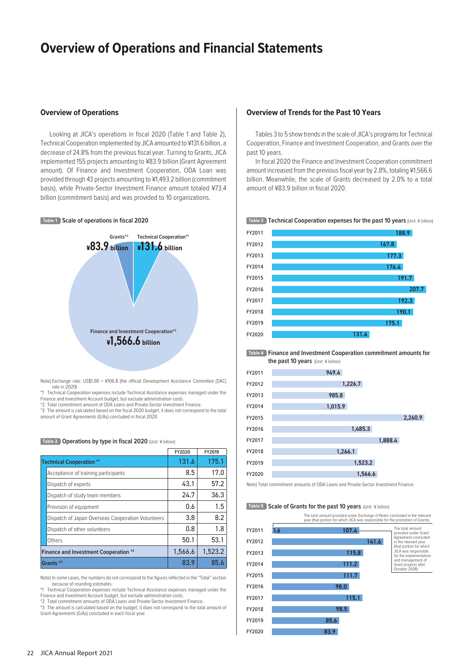# **Overview of Operations and Financial Statements**

Looking at JICA's operations in fiscal 2020 (Table 1 and Table 2), Technical Cooperation implemented by JICA amounted to ¥131.6 billion, a decrease of 24.8% from the previous fiscal year. Turning to Grants, JICA implemented 155 projects amounting to ¥83.9 billion (Grant Agreement amount). Of Finance and Investment Cooperation, ODA Loan was provided through 43 projects amounting to ¥1,493.2 billion (commitment basis), while Private-Sector Investment Finance amount totaled ¥73.4 billion (commitment basis) and was provided to 10 organizations.

### **Table 1 Scale of operations in fiscal 2020**



Note) Exchange rate: US\$1.00 = ¥106.8 (the official Development Assistance Committee [DAC] rate in 2020)

Technical Cooperation expenses include Technical Assistance expenses managed under the

Finance and Investment Account budget, but exclude administration costs. \*2 Total commitment amount of ODA Loans and Private-Sector Investment Finance.

\*3 The amount is calculated based on the fiscal 2020 budget; it does not correspond to the total amount of Grant Agreements (G/As) concluded in fiscal 2020.

**Table 2** Operations by type in fiscal 2020 (Unit: ¥ billion)

|                                                   | FY2020  | FY2019  |
|---------------------------------------------------|---------|---------|
| Technical Cooperation <sup>*1</sup>               | 131.6   | 175.1   |
| Acceptance of training participants               | 8.5     | 17.0    |
| Dispatch of experts                               | 43.1    | 57.2    |
| Dispatch of study team members                    | 24.7    | 36.3    |
| Provision of equipment                            | 0.6     | 1.5     |
| Dispatch of Japan Overseas Cooperation Volunteers | 3.8     | 8.2     |
| Dispatch of other volunteers                      | 0.8     | 1.8     |
| Others                                            | 50.1    | 53.1    |
| Finance and Investment Cooperation *2             | 1,566.6 | 1.523.2 |
| Grants <sup>*3</sup>                              | 83.9    | 85.6    |

Note) In some cases, the numbers do not correspond to the figures reflected in the "Total" section because of rounding estimates.

\*1 Technical Cooperation expenses include Technical Assistance expenses managed under the Finance and Investment Account budget, but exclude administration costs.

\*2 Total commitment amounts of ODA Loans and Private-Sector Investment Finance.

\*3 The amount is calculated based on the budget; it does not correspond to the total amount of Grant Agreements (G/As) concluded in each fiscal year.

### **Overview of Operations Overview of Trends for the Past 10 Years**

Tables 3 to 5 show trends in the scale of JICA's programs for Technical Cooperation, Finance and Investment Cooperation, and Grants over the past 10 years.

In fiscal 2020 the Finance and Investment Cooperation commitment amount increased from the previous fiscal year by 2.8%, totaling ¥1,566.6 billion. Meanwhile, the scale of Grants decreased by 2.0% to a total amount of ¥83.9 billion in fiscal 2020.

#### **Table 3 Technical Cooperation expenses for the past 10 years** (Unit: ¥ billion)



**Table 4 Finance and Investment Cooperation commitment amounts for the past 10 years** (Unit: ¥ billion)

| FY2011 | 949.4   |         |         |
|--------|---------|---------|---------|
| FY2012 | 1,226.7 |         |         |
| FY2013 | 985.8   |         |         |
| FY2014 | 1,015.9 |         |         |
| FY2015 |         |         | 2,260.9 |
| FY2016 | 1,485.3 |         |         |
| FY2017 |         | 1,888.4 |         |
| FY2018 | 1,266.1 |         |         |
| FY2019 | 1,523.2 |         |         |
| FY2020 | 1,566.6 |         |         |

Note) Total commitment amounts of ODA Loans and Private-Sector Investment Finance.

#### **Table 5** Scale of Grants for the past 10 years (Unit: ¥ billion)

The total amount provided under Exchange of Notes concluded in the relevant year (that portion for which JICA was responsible for the promotion of Grants)

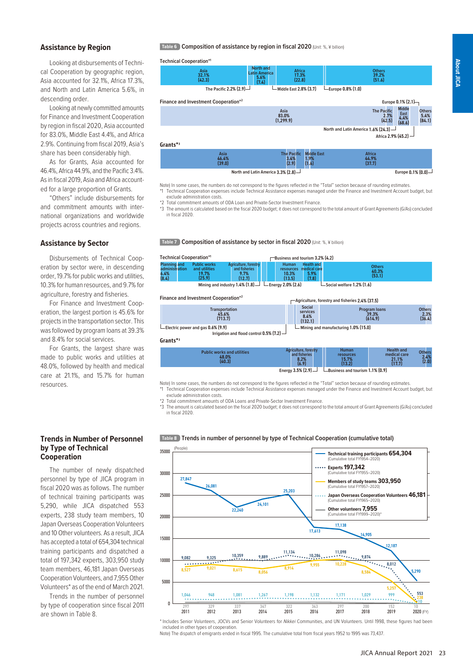**Europe** 0.1% (0.0)

## **Assistance by Region**

Looking at disbursements of Technical Cooperation by geographic region, Asia accounted for 32.1%, Africa 17.3%, and North and Latin America 5.6%, in descending order.

Looking at newly committed amounts for Finance and Investment Cooperation by region in fiscal 2020, Asia accounted for 83.0%, Middle East 4.4%, and Africa 2.9%. Continuing from fiscal 2019, Asia's share has been considerably high.

As for Grants, Asia accounted for 46.4%, Africa 44.9%, and the Pacific 3.4%. As in fiscal 2019, Asia and Africa accounted for a large proportion of Grants.

"Others" include disbursements for and commitment amounts with international organizations and worldwide projects across countries and regions.

### **Assistance by Sector**

Disbursements of Technical Cooperation by sector were, in descending order, 19.7% for public works and utilities, 10.3% for human resources, and 9.7% for agriculture, forestry and fisheries.

For Finance and Investment Cooperation, the largest portion is 45.6% for projects in the transportation sector. This was followed by program loans at 39.3% and 8.4% for social services.

For Grants, the largest share was made to public works and utilities at 48.0%, followed by health and medical care at 21.1%, and 15.7% for human resources.

### **Trends in Number of Personnel by Type of Technical Cooperation**

The number of newly dispatched personnel by type of JICA program in fiscal 2020 was as follows. The number of technical training participants was 5,290, while JICA dispatched 553 experts, 238 study team members, 10 Japan Overseas Cooperation Volunteers and 10 Other volunteers. As a result, JICA has accepted a total of 654,304 technical training participants and dispatched a total of 197,342 experts, 303,950 study team members, 46,181 Japan Overseas Cooperation Volunteers, and 7,955 Other Volunteers\* as of the end of March 2021.

Trends in the number of personnel by type of cooperation since fiscal 2011 are shown in Table 8.

**Table 6** Composition of assistance by region in fiscal 2020 (Unit: %, ¥ billion)

**Technical Cooperation\*1**



Note) In some cases, the numbers do not correspond to the figures reflected in the "Total" section because of rounding estimates. Technical Cooperation expenses include Technical Assistance expenses managed under the Finance and Investment Account budget, but exclude administration costs.

Total commitment amounts of ODA Loan and Private-Sector Investment Finance.

\*3 The amount is calculated based on the fiscal 2020 budget; it does not correspond to the total amount of Grant Agreements (G/As) concluded in fiscal 2020.

**Table 7 Composition of assistance by sector in fiscal 2020** (Unit: %, ¥ billion)

**North and Latin America** 3.3% (2.8)

| <b>Technical Cooperation*1</b>                                                               |                                                         |                                                          |  | -Business and tourism 3.2% (4.2)                    |                                                    |                                  |  |  |
|----------------------------------------------------------------------------------------------|---------------------------------------------------------|----------------------------------------------------------|--|-----------------------------------------------------|----------------------------------------------------|----------------------------------|--|--|
| <b>Planning and</b><br>administration<br>$6.4%$<br>$(8.4)$                                   | <b>Public works</b><br>and utilities<br>19.7%<br>(25.9) | Agriculture, forestry<br>and fisheries<br>9.7%<br>(12.7) |  | <b>Human</b><br><b>resources</b><br>10.3%<br>(13.5) | <b>Health and</b><br>medical care<br>5.9%<br>(7.8) | <b>Others</b><br>40.3%<br>(53.1) |  |  |
| Mining and industry $1.4\%$ (1.8) $ -$ Energy 2.0% (2.6)<br>$\Box$ Social welfare 1.2% (1.6) |                                                         |                                                          |  |                                                     |                                                    |                                  |  |  |

#### **Finance and Investment Cooperation\*2**

| <b>Transportation</b><br>45.6%<br>(713.7)                                                  | <b>Social</b><br>services<br>8.4%<br>(132.1)            |                                              | <b>Program loans</b><br>39.3%<br>(614.9)             | <b>Others</b><br>$2.3%$<br>(36.4) |
|--------------------------------------------------------------------------------------------|---------------------------------------------------------|----------------------------------------------|------------------------------------------------------|-----------------------------------|
| $\Box$ Electric power and gas 0.6% (9.9)<br>Irrigation and flood control $0.5\%$ (7.2) $-$ |                                                         | $\Box$ Mining and manufacturing 1.0% (15.0)  |                                                      |                                   |
| Grants* <sup>3</sup>                                                                       |                                                         |                                              |                                                      |                                   |
| <b>Public works and utilities</b><br>48.0%<br>(40.3)                                       | Agriculture, forestry<br>and fisheries<br>8.2%<br>(6.9) | <b>Human</b><br>resources<br>15.7%<br>(13.2) | <b>Health and</b><br>medical care<br>21.1%<br>(17.7) | <b>Others</b><br>2.4%<br>(2.0)    |

**Agriculture, forestry and fisheries** 2.4% (37.5)

**Energy 3.5% (2.9) Business and tourism 1.1% (0.9)** 

|  |  |  | Note) In some cases, the numbers do not correspond to the figures reflected in the "Total" section because of rounding estimates. |  |  |  |  |  |
|--|--|--|-----------------------------------------------------------------------------------------------------------------------------------|--|--|--|--|--|
|  |  |  | M. Todasted Accessible checked todale Todated Activises checked accessible and Floorer codifications Accessibility                |  |  |  |  |  |

\*1 Technical Cooperation expenses include Technical Assistance expenses managed under the Finance and Investment Account budget, but exclude administration costs.

Total commitment amounts of ODA Loans and Private-Sector Investment Finance

\*3 The amount is calculated based on the fiscal 2020 budget; it does not correspond to the total amount of Grant Agreements (G/As) concluded in fiscal 2020.



**Table 8 Trends in number of personnel by type of Technical Cooperation (cumulative total)**

\* Includes Senior Volunteers, JOCVs and Senior Volunteers for *Nikkei* Communities, and UN Volunteers. Until 1998, these figures had been included in other types of cooperation.

Note) The dispatch of emigrants ended in fiscal 1995. The cumulative total from fiscal years 1952 to 1995 was 73,437.